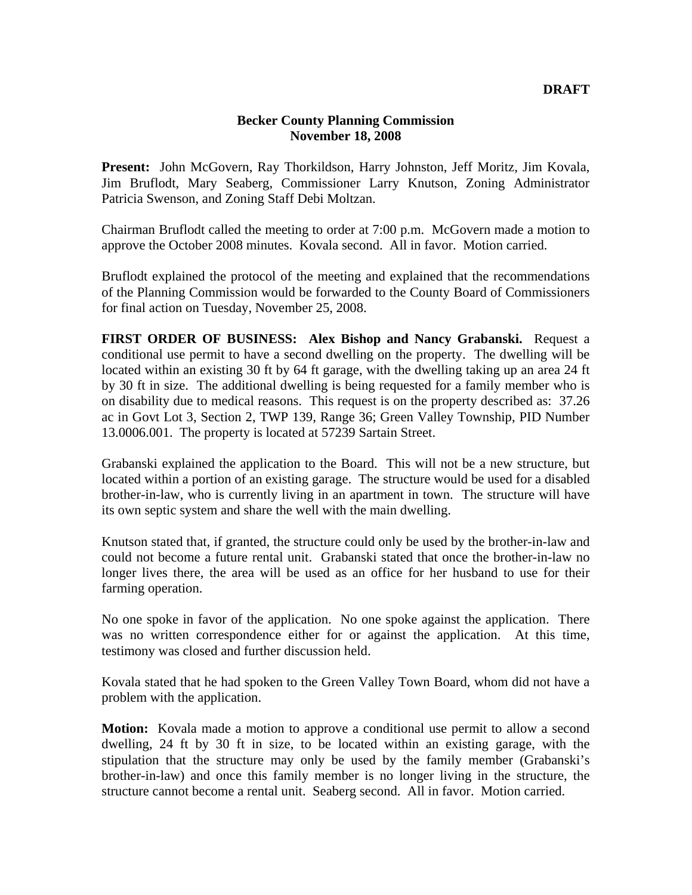## **Becker County Planning Commission November 18, 2008**

**Present:** John McGovern, Ray Thorkildson, Harry Johnston, Jeff Moritz, Jim Kovala, Jim Bruflodt, Mary Seaberg, Commissioner Larry Knutson, Zoning Administrator Patricia Swenson, and Zoning Staff Debi Moltzan.

Chairman Bruflodt called the meeting to order at 7:00 p.m. McGovern made a motion to approve the October 2008 minutes. Kovala second. All in favor. Motion carried.

Bruflodt explained the protocol of the meeting and explained that the recommendations of the Planning Commission would be forwarded to the County Board of Commissioners for final action on Tuesday, November 25, 2008.

**FIRST ORDER OF BUSINESS: Alex Bishop and Nancy Grabanski.** Request a conditional use permit to have a second dwelling on the property. The dwelling will be located within an existing 30 ft by 64 ft garage, with the dwelling taking up an area 24 ft by 30 ft in size. The additional dwelling is being requested for a family member who is on disability due to medical reasons. This request is on the property described as: 37.26 ac in Govt Lot 3, Section 2, TWP 139, Range 36; Green Valley Township, PID Number 13.0006.001. The property is located at 57239 Sartain Street.

Grabanski explained the application to the Board. This will not be a new structure, but located within a portion of an existing garage. The structure would be used for a disabled brother-in-law, who is currently living in an apartment in town. The structure will have its own septic system and share the well with the main dwelling.

Knutson stated that, if granted, the structure could only be used by the brother-in-law and could not become a future rental unit. Grabanski stated that once the brother-in-law no longer lives there, the area will be used as an office for her husband to use for their farming operation.

No one spoke in favor of the application. No one spoke against the application. There was no written correspondence either for or against the application. At this time, testimony was closed and further discussion held.

Kovala stated that he had spoken to the Green Valley Town Board, whom did not have a problem with the application.

**Motion:** Kovala made a motion to approve a conditional use permit to allow a second dwelling, 24 ft by 30 ft in size, to be located within an existing garage, with the stipulation that the structure may only be used by the family member (Grabanski's brother-in-law) and once this family member is no longer living in the structure, the structure cannot become a rental unit. Seaberg second. All in favor. Motion carried.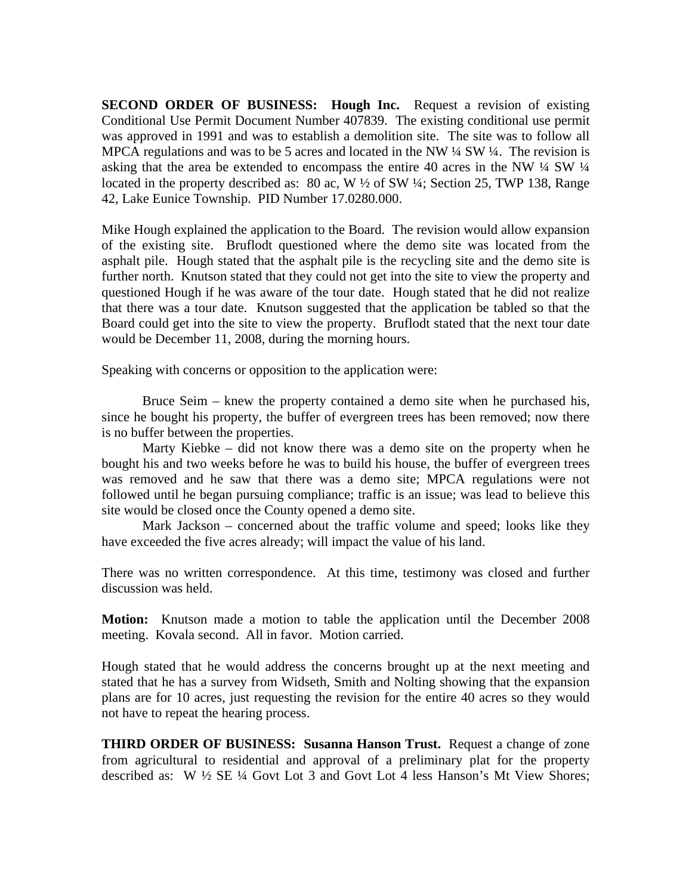**SECOND ORDER OF BUSINESS: Hough Inc.** Request a revision of existing Conditional Use Permit Document Number 407839. The existing conditional use permit was approved in 1991 and was to establish a demolition site. The site was to follow all MPCA regulations and was to be 5 acres and located in the NW  $\frac{1}{4}$  SW  $\frac{1}{4}$ . The revision is asking that the area be extended to encompass the entire 40 acres in the NW ¼ SW ¼ located in the property described as: 80 ac, W  $\frac{1}{2}$  of SW  $\frac{1}{4}$ ; Section 25, TWP 138, Range 42, Lake Eunice Township. PID Number 17.0280.000.

Mike Hough explained the application to the Board. The revision would allow expansion of the existing site. Bruflodt questioned where the demo site was located from the asphalt pile. Hough stated that the asphalt pile is the recycling site and the demo site is further north. Knutson stated that they could not get into the site to view the property and questioned Hough if he was aware of the tour date. Hough stated that he did not realize that there was a tour date. Knutson suggested that the application be tabled so that the Board could get into the site to view the property. Bruflodt stated that the next tour date would be December 11, 2008, during the morning hours.

Speaking with concerns or opposition to the application were:

 Bruce Seim – knew the property contained a demo site when he purchased his, since he bought his property, the buffer of evergreen trees has been removed; now there is no buffer between the properties.

 Marty Kiebke – did not know there was a demo site on the property when he bought his and two weeks before he was to build his house, the buffer of evergreen trees was removed and he saw that there was a demo site; MPCA regulations were not followed until he began pursuing compliance; traffic is an issue; was lead to believe this site would be closed once the County opened a demo site.

 Mark Jackson – concerned about the traffic volume and speed; looks like they have exceeded the five acres already; will impact the value of his land.

There was no written correspondence. At this time, testimony was closed and further discussion was held.

**Motion:** Knutson made a motion to table the application until the December 2008 meeting. Kovala second. All in favor. Motion carried.

Hough stated that he would address the concerns brought up at the next meeting and stated that he has a survey from Widseth, Smith and Nolting showing that the expansion plans are for 10 acres, just requesting the revision for the entire 40 acres so they would not have to repeat the hearing process.

**THIRD ORDER OF BUSINESS: Susanna Hanson Trust.** Request a change of zone from agricultural to residential and approval of a preliminary plat for the property described as: W ½ SE ¼ Govt Lot 3 and Govt Lot 4 less Hanson's Mt View Shores;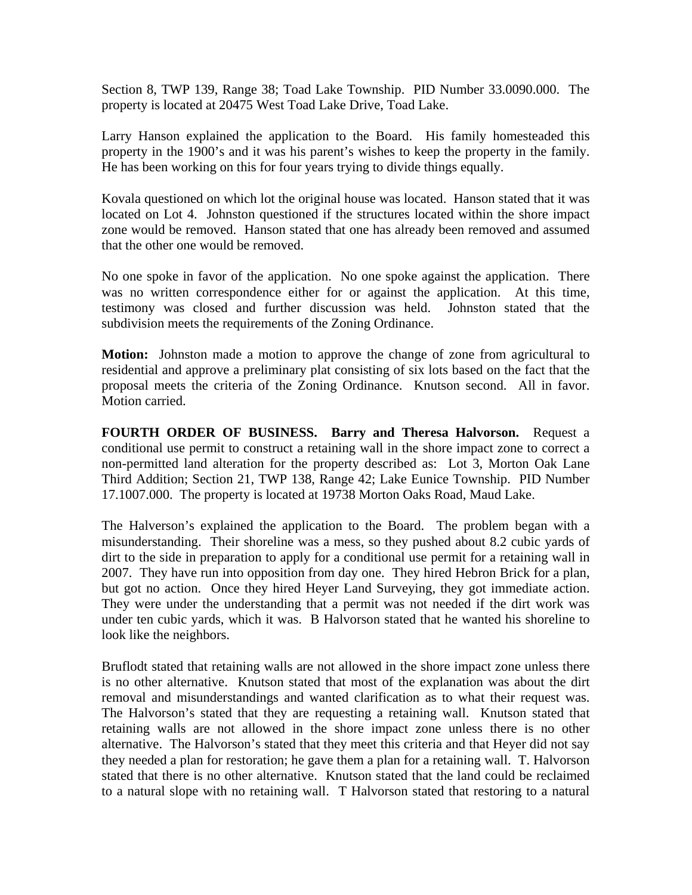Section 8, TWP 139, Range 38; Toad Lake Township. PID Number 33.0090.000. The property is located at 20475 West Toad Lake Drive, Toad Lake.

Larry Hanson explained the application to the Board. His family homesteaded this property in the 1900's and it was his parent's wishes to keep the property in the family. He has been working on this for four years trying to divide things equally.

Kovala questioned on which lot the original house was located. Hanson stated that it was located on Lot 4. Johnston questioned if the structures located within the shore impact zone would be removed. Hanson stated that one has already been removed and assumed that the other one would be removed.

No one spoke in favor of the application. No one spoke against the application. There was no written correspondence either for or against the application. At this time, testimony was closed and further discussion was held. Johnston stated that the subdivision meets the requirements of the Zoning Ordinance.

**Motion:** Johnston made a motion to approve the change of zone from agricultural to residential and approve a preliminary plat consisting of six lots based on the fact that the proposal meets the criteria of the Zoning Ordinance. Knutson second. All in favor. Motion carried.

**FOURTH ORDER OF BUSINESS. Barry and Theresa Halvorson.** Request a conditional use permit to construct a retaining wall in the shore impact zone to correct a non-permitted land alteration for the property described as: Lot 3, Morton Oak Lane Third Addition; Section 21, TWP 138, Range 42; Lake Eunice Township. PID Number 17.1007.000. The property is located at 19738 Morton Oaks Road, Maud Lake.

The Halverson's explained the application to the Board. The problem began with a misunderstanding. Their shoreline was a mess, so they pushed about 8.2 cubic yards of dirt to the side in preparation to apply for a conditional use permit for a retaining wall in 2007. They have run into opposition from day one. They hired Hebron Brick for a plan, but got no action. Once they hired Heyer Land Surveying, they got immediate action. They were under the understanding that a permit was not needed if the dirt work was under ten cubic yards, which it was. B Halvorson stated that he wanted his shoreline to look like the neighbors.

Bruflodt stated that retaining walls are not allowed in the shore impact zone unless there is no other alternative. Knutson stated that most of the explanation was about the dirt removal and misunderstandings and wanted clarification as to what their request was. The Halvorson's stated that they are requesting a retaining wall. Knutson stated that retaining walls are not allowed in the shore impact zone unless there is no other alternative. The Halvorson's stated that they meet this criteria and that Heyer did not say they needed a plan for restoration; he gave them a plan for a retaining wall. T. Halvorson stated that there is no other alternative. Knutson stated that the land could be reclaimed to a natural slope with no retaining wall. T Halvorson stated that restoring to a natural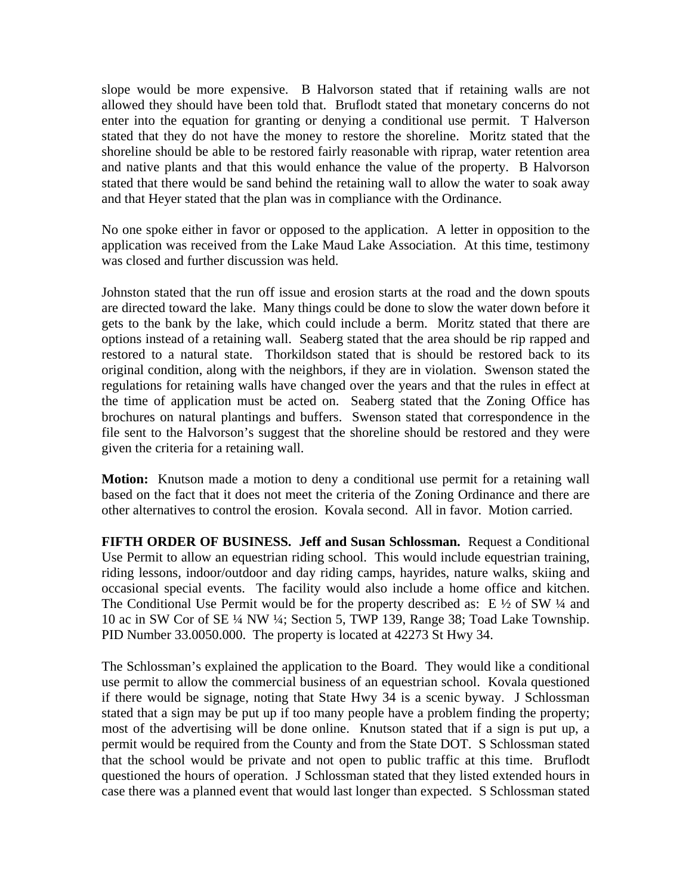slope would be more expensive. B Halvorson stated that if retaining walls are not allowed they should have been told that. Bruflodt stated that monetary concerns do not enter into the equation for granting or denying a conditional use permit. T Halverson stated that they do not have the money to restore the shoreline. Moritz stated that the shoreline should be able to be restored fairly reasonable with riprap, water retention area and native plants and that this would enhance the value of the property. B Halvorson stated that there would be sand behind the retaining wall to allow the water to soak away and that Heyer stated that the plan was in compliance with the Ordinance.

No one spoke either in favor or opposed to the application. A letter in opposition to the application was received from the Lake Maud Lake Association. At this time, testimony was closed and further discussion was held.

Johnston stated that the run off issue and erosion starts at the road and the down spouts are directed toward the lake. Many things could be done to slow the water down before it gets to the bank by the lake, which could include a berm. Moritz stated that there are options instead of a retaining wall. Seaberg stated that the area should be rip rapped and restored to a natural state. Thorkildson stated that is should be restored back to its original condition, along with the neighbors, if they are in violation. Swenson stated the regulations for retaining walls have changed over the years and that the rules in effect at the time of application must be acted on. Seaberg stated that the Zoning Office has brochures on natural plantings and buffers. Swenson stated that correspondence in the file sent to the Halvorson's suggest that the shoreline should be restored and they were given the criteria for a retaining wall.

**Motion:** Knutson made a motion to deny a conditional use permit for a retaining wall based on the fact that it does not meet the criteria of the Zoning Ordinance and there are other alternatives to control the erosion. Kovala second. All in favor. Motion carried.

**FIFTH ORDER OF BUSINESS. Jeff and Susan Schlossman.** Request a Conditional Use Permit to allow an equestrian riding school. This would include equestrian training, riding lessons, indoor/outdoor and day riding camps, hayrides, nature walks, skiing and occasional special events. The facility would also include a home office and kitchen. The Conditional Use Permit would be for the property described as:  $E\frac{1}{2}$  of SW  $\frac{1}{4}$  and 10 ac in SW Cor of SE ¼ NW ¼; Section 5, TWP 139, Range 38; Toad Lake Township. PID Number 33.0050.000. The property is located at 42273 St Hwy 34.

The Schlossman's explained the application to the Board. They would like a conditional use permit to allow the commercial business of an equestrian school. Kovala questioned if there would be signage, noting that State Hwy 34 is a scenic byway. J Schlossman stated that a sign may be put up if too many people have a problem finding the property; most of the advertising will be done online. Knutson stated that if a sign is put up, a permit would be required from the County and from the State DOT. S Schlossman stated that the school would be private and not open to public traffic at this time. Bruflodt questioned the hours of operation. J Schlossman stated that they listed extended hours in case there was a planned event that would last longer than expected. S Schlossman stated